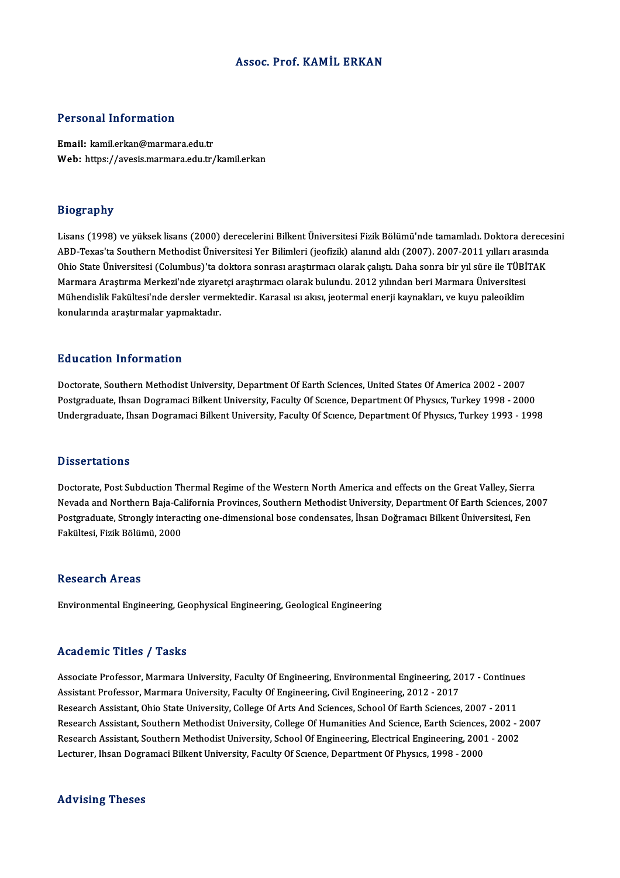## Assoc. Prof. KAMİL ERKAN

## Personal Information

Email: kamil.erkan@marmara.edu.tr Web: https://avesis.marmara.edu.tr/kamil.erkan

## Biography

Bi<mark>ography</mark><br>Lisans (1998) ve yüksek lisans (2000) derecelerini Bilkent Üniversitesi Fizik Bölümü'nde tamamladı. Doktora derecesini<br>APD Tavas'ta Southern Methodist Üniversitesi Ver Bilimleri (jeofizik) alanınd aldı (2007), 210g1 apasy<br>Lisans (1998) ve yüksek lisans (2000) derecelerini Bilkent Üniversitesi Fizik Bölümü'nde tamamladı. Doktora dereces<br>ABD-Texas'ta Southern Methodist Üniversitesi Yer Bilimleri (jeofizik) alanınd aldı (2007). 200 Lisans (1998) ve yüksek lisans (2000) derecelerini Bilkent Üniversitesi Fizik Bölümü'nde tamamladı. Doktora derece<br>ABD-Texas'ta Southern Methodist Üniversitesi Yer Bilimleri (jeofizik) alanınd aldı (2007). 2007-2011 yıllar ABD-Texas'ta Southern Methodist Üniversitesi Yer Bilimleri (jeofizik) alanınd aldı (2007). 2007-2011 yılları aras<br>Ohio State Üniversitesi (Columbus)'ta doktora sonrası araştırmacı olarak çalıştı. Daha sonra bir yıl süre il Ohio State Üniversitesi (Columbus)'ta doktora sonrası araştırmacı olarak çalıştı. Daha sonra bir yıl süre ile TÜBİ'<br>Marmara Araştırma Merkezi'nde ziyaretçi araştırmacı olarak bulundu. 2012 yılından beri Marmara Üniversites Marmara Araştırma Merkezi'nde ziyaretçi araştırmacı olarak bulundu. 2012 yılından beri Marmara Üniversitesi<br>Mühendislik Fakültesi'nde dersler vermektedir. Karasal ısı akısı, jeotermal enerji kaynakları, ve kuyu paleoiklim<br>

## Education Information

Doctorate, Southern Methodist University, Department Of Earth Sciences, United States Of America 2002 - 2007 Postgraduate, Ihsan Dogramaci Bilkent University, Faculty Of Science, Department Of Physics, Turkey 1998 - 2000 Undergraduate, Ihsan Dogramaci Bilkent University, Faculty Of Science, Department Of Physics, Turkey 1993 - 1998

## **Dissertations**

Doctorate, Post Subduction Thermal Regime of the Western North America and effects on the Great Valley, Sierra Nevada and Northern Baja-California Provinces, Southern Methodist University, Department Of Earth Sciences, 2007 Doctorate, Post Subduction Thermal Regime of the Western North America and effects on the Great Valley, Sierra<br>Nevada and Northern Baja-California Provinces, Southern Methodist University, Department Of Earth Sciences, 20<br> Nevada and Northern Baja-Ca<br>Postgraduate, Strongly interac<br>Fakültesi, Fizik Bölümü, 2000 Fakültesi, Fizik Bölümü, 2000<br>Research Areas

Environmental Engineering, Geophysical Engineering, Geological Engineering

## Academic Titles / Tasks

Academic Titles / Tasks<br>Associate Professor, Marmara University, Faculty Of Engineering, Environmental Engineering, 2017 - Continues<br>Assistant Professor, Marmara University, Faculty Of Engineering, Civil Engineering, 2012, Associate Professor, Marmara University, Faculty Of Engineering, Environmental Engineering, 20<br>Assistant Professor, Marmara University, Faculty Of Engineering, Civil Engineering, 2012 - 2017<br>Besearch Assistant, Obje State Associate Professor, Marmara University, Faculty Of Engineering, Environmental Engineering, 2017 - Continue<br>Assistant Professor, Marmara University, Faculty Of Engineering, Civil Engineering, 2012 - 2017<br>Research Assistant Assistant Professor, Marmara University, Faculty Of Engineering, Civil Engineering, 2012 - 2017<br>Research Assistant, Ohio State University, College Of Arts And Sciences, School Of Earth Sciences, 2007 - 2011<br>Research Assist Research Assistant, Ohio State University, College Of Arts And Sciences, School Of Earth Sciences, 2007 - 2011<br>Research Assistant, Southern Methodist University, College Of Humanities And Science, Earth Sciences, 2002 - 2<br> Research Assistant, Southern Methodist University, College Of Humanities And Science, Earth Sciences,<br>Research Assistant, Southern Methodist University, School Of Engineering, Electrical Engineering, 2001<br>Lecturer, Ihsan D Lecturer, Ihsan Dogramaci Bilkent University, Faculty Of Science, Department Of Physics, 1998 - 2000<br>Advising Theses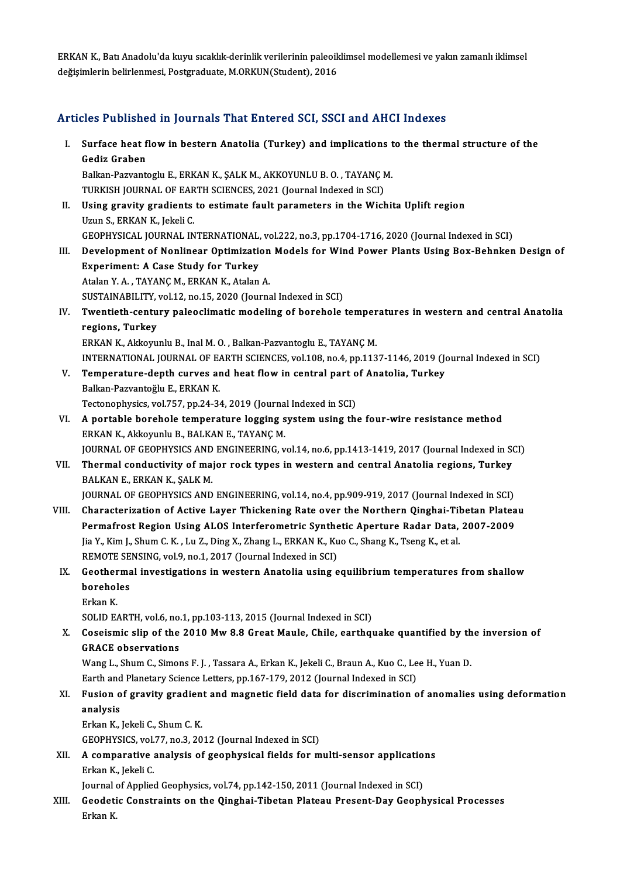ERKAN K., Batı Anadolu'da kuyu sıcaklık-derinlik verilerinin paleoiklimsel modellemesi ve yakın zamanlı iklimsel<br>değişimlerin helirlenmesi, Restanadusta, M.QRKUN(Student), 2016 ERKAN K., Batı Anadolu'da kuyu sıcaklık-derinlik verilerinin paleoik<br>değişimlerin belirlenmesi, Postgraduate, M.ORKUN(Student), 2016

## değişimlerin belirlenmesi, Postgraduate, M.ORKUN(Student), 2016<br>Articles Published in Journals That Entered SCI, SSCI and AHCI Indexes

rticles Published in Journals That Entered SCI, SSCI and AHCI Indexes<br>I. Surface heat flow in bestern Anatolia (Turkey) and implications to the thermal structure of the<br>Codiz Craban gedia dia mandre<br>Surface heat f<br>Gediz Graben<br>Bellian Bezuants Surface heat flow in bestern Anatolia (Turkey) and implications t<br>Gediz Graben<br>Balkan-Pazvantoglu E., ERKAN K., ŞALK M., AKKOYUNLU B. O. , TAYANÇ M.<br>TURKISH JOURNAL OF FARTH SCIENCES 2021 (Journal Indoved in SCI) Gediz Graben<br>Balkan-Pazvantoglu E., ERKAN K., ŞALK M., AKKOYUNLU B. O. , TAYANÇ M.<br>TURKISH JOURNAL OF EARTH SCIENCES, 2021 (Journal Indexed in SCI) II. Using gravity gradients to estimate fault parameters in the Wichita Uplift region Uzun S., ERKAN K., Jekeli C. Using gravity gradients to estimate fault parameters in the Wichita Uplift region<br>Uzun S., ERKAN K., Jekeli C.<br>GEOPHYSICAL JOURNAL INTERNATIONAL, vol.222, no.3, pp.1704-1716, 2020 (Journal Indexed in SCI)<br>Development of Ne Uzun S., ERKAN K., Jekeli C.<br>GEOPHYSICAL JOURNAL INTERNATIONAL, vol.222, no.3, pp.1704-1716, 2020 (Journal Indexed in SCI)<br>III. Development of Nonlinear Optimization Models for Wind Power Plants Using Box-Behnken Desig GEOPHYSICAL JOURNAL INTERNATIONAL,<br>Development of Nonlinear Optimization<br>Experiment: A Case Study for Turkey Development of Nonlinear Optimization<br>Experiment: A Case Study for Turkey<br>Atalan Y. A., TAYANÇ M., ERKAN K., Atalan A.<br>SUSTANAPU ITV vol 12 no 15 2020 (Journe Experiment: A Case Study for Turkey<br>Atalan Y. A. , TAYANÇ M., ERKAN K., Atalan A.<br>SUSTAINABILITY, vol.12, no.15, 2020 (Journal Indexed in SCI) Atalan Y. A. , TAYANÇ M., ERKAN K., Atalan A.<br>SUSTAINABILITY, vol.12, no.15, 2020 (Journal Indexed in SCI)<br>IV. Twentieth-century paleoclimatic modeling of borehole temperatures in western and central Anatolia<br>negione. SUSTAINABILITY,<br>Twentieth-centu<br>regions, Turkey<br>EDKAN K. Aldrouw Twentieth-century paleoclimatic modeling of borehole temper<br>regions, Turkey<br>ERKAN K., Akkoyunlu B., Inal M. O. , Balkan-Pazvantoglu E., TAYANÇ M.<br>INTERNATIONAL JOURNAL OF FARTH SCIENCES vol 109 no 4 nn 113 regions, Turkey<br>ERKAN K., Akkoyunlu B., Inal M. O. , Balkan-Pazvantoglu E., TAYANÇ M.<br>INTERNATIONAL JOURNAL OF EARTH SCIENCES, vol.108, no.4, pp.1137-1146, 2019 (Journal Indexed in SCI) V. Temperature-depth curves and heat flowin central part of Anatolia, Turkey Balkan-Pazvantoğlu E., ERKAN K. Tectonophysics, vol.757, pp.24-34, 2019 (Journal Indexed in SCI) VI. A portable borehole temperature logging systemusing the four-wire resistancemethod ERKAN K., Akkoyunlu B., BALKAN E., TAYANÇ M. A portable borehole temperature logging system using the four-wire resistance method<br>ERKAN K., Akkoyunlu B., BALKAN E., TAYANÇ M.<br>JOURNAL OF GEOPHYSICS AND ENGINEERING, vol.14, no.6, pp.1413-1419, 2017 (Journal Indexed in ERKAN K., Akkoyunlu B., BALKAN E., TAYANÇ M.<br>JOURNAL OF GEOPHYSICS AND ENGINEERING, vol.14, no.6, pp.1413-1419, 2017 (Journal Indexed in St.<br>VII. Thermal conductivity of major rock types in western and central Anatolia reg **JOURNAL OF GEOPHYSICS AND<br>Thermal conductivity of maj<br>BALKAN E., ERKAN K., ŞALK M.<br>JOUPNAL OF CEOPHYSICS AND** Thermal conductivity of major rock types in western and central Anatolia regions, Turkey<br>BALKAN E., ERKAN K., ŞALK M.<br>JOURNAL OF GEOPHYSICS AND ENGINEERING, vol.14, no.4, pp.909-919, 2017 (Journal Indexed in SCI)<br>Character BALKAN E., ERKAN K., ŞALK M.<br>JOURNAL OF GEOPHYSICS AND ENGINEERING, vol.14, no.4, pp.909-919, 2017 (Journal Indexed in SCI)<br>VIII. Characterization of Active Layer Thickening Rate over the Northern Qinghai-Tibetan Plateau<br>P JOURNAL OF GEOPHYSICS AND ENGINEERING, vol.14, no.4, pp.909-919, 2017 (Journal Indexed in SCI)<br>Characterization of Active Layer Thickening Rate over the Northern Qinghai-Tibetan Platea<br>Permafrost Region Using ALOS Interfer Characterization of Active Layer Thickening Rate over the Northern Qinghai-Til<br>Permafrost Region Using ALOS Interferometric Synthetic Aperture Radar Data,<br>Jia Y., Kim J., Shum C. K. , Lu Z., Ding X., Zhang L., ERKAN K., Ku Permafrost Region Using ALOS Interferometric Synthetic Aperture Radar Data, 2007-2009<br>Jia Y., Kim J., Shum C. K. , Lu Z., Ding X., Zhang L., ERKAN K., Kuo C., Shang K., Tseng K., et al.<br>REMOTE SENSING, vol.9, no.1, 2017 (J Jia Y., Kim J., Shum C. K. , Lu Z., Ding X., Zhang L., ERKAN K., Kuo C., Shang K., Tseng K., et al.<br>REMOTE SENSING, vol.9, no.1, 2017 (Journal Indexed in SCI)<br>IX. Geothermal investigations in western Anatolia using equilib REMOTE SE<br>Geotherma<br>boreholes<br>Erkan K **Geother**<br>borehol<br>Erkan K.<br>SOLID F boreholes<br>Erkan K.<br>SOLID EARTH, vol.6, no.1, pp.103-113, 2015 (Journal Indexed in SCI) Erkan K.<br>SOLID EARTH, vol.6, no.1, pp.103-113, 2015 (Journal Indexed in SCI)<br>X. Coseismic slip of the 2010 Mw 8.8 Great Maule, Chile, earthquake quantified by the inversion of<br>CPACE observations SOLID EARTH, vol.6, no.<br>Coseismic slip of the<br>GRACE observations<br>Wang L. Shum C. Simon Coseismic slip of the 2010 Mw 8.8 Great Maule, Chile, earthquake quantified by th<br>GRACE observations<br>Wang L., Shum C., Simons F. J. , Tassara A., Erkan K., Jekeli C., Braun A., Kuo C., Lee H., Yuan D.<br>Farth and Blanstary S GRACE observations<br>Wang L., Shum C., Simons F. J. , Tassara A., Erkan K., Jekeli C., Braun A., Kuo C., Lee H., Yuan D. Wang L., Shum C., Simons F. J. , Tassara A., Erkan K., Jekeli C., Braun A., Kuo C., Lee H., Yuan D.<br>Earth and Planetary Science Letters, pp.167-179, 2012 (Journal Indexed in SCI)<br>XI. Fusion of gravity gradient and magnetic Earth and Planetary Science Letters, pp.167-179, 2012 (Journal Indexed in SCI)<br>Fusion of gravity gradient and magnetic field data for discrimination of<br>analysis<br>Erkan K., Jekeli C., Shum C. K. Fusion of gravity gradien<br>analysis<br>Erkan K., Jekeli C., Shum C. K.<br>CEOPHYSICS vol 77 no 3-20 GEOPHYSICS, vol.77, no.3, 2012 (Journal Indexed in SCI) Erkan K., Jekeli C., Shum C. K.<br>GEOPHYSICS, vol.77, no.3, 2012 (Journal Indexed in SCI)<br>XII. A comparative analysis of geophysical fields for multi-sensor applications<br>Frign K. Jokeli C. GEOPHYSICS, vol.<br>A comparative<br>Erkan K., Jekeli C.<br>Journal of Annlies A comparative analysis of geophysical fields for multi-sensor application<br>Erkan K., Jekeli C.<br>Journal of Applied Geophysics, vol.74, pp.142-150, 2011 (Journal Indexed in SCI)<br>Coodstis Constraints on the Oinshai Tibetan Pla Erkan K., Jekeli C.<br>Journal of Applied Geophysics, vol.74, pp.142-150, 2011 (Journal Indexed in SCI)<br>XIII. Geodetic Constraints on the Qinghai-Tibetan Plateau Present-Day Geophysical Processes<br>Erkan K. Journal<br><mark>Geodeti</mark><br>Erkan K.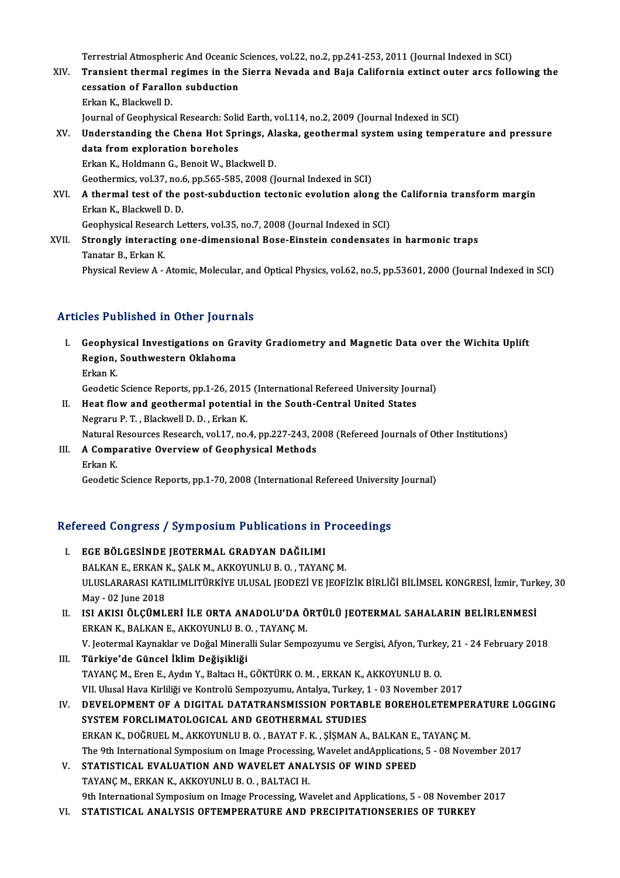Terrestrial Atmospheric And Oceanic Sciences, vol.22, no.2, pp.241-253, 2011 (Journal Indexed in SCI)<br>Transient thermal regimes in the Sierre Neveds and Peis Celifornia extinct euter area follo

- Terrestrial Atmospheric And Oceanic Sciences, vol.22, no.2, pp.241-253, 2011 (Journal Indexed in SCI)<br>XIV. Transient thermal regimes in the Sierra Nevada and Baja California extinct outer arcs following the Terrestrial Atmospheric And Oceanic :<br>Transient thermal regimes in the<br>cessation of Farallon subduction<br>Frican K. Plaskwell D. Transient thermal r<br>cessation of Farallo<br>Erkan K., Blackwell D.<br>Journal of Coonbusics cessation of Farallon subduction<br>Erkan K., Blackwell D.<br>Journal of Geophysical Research: Solid Earth, vol.114, no.2, 2009 (Journal Indexed in SCI)<br>Understanding the Chana Het Springs, Alaska, geothermal system using temper Erkan K., Blackwell D.<br>Journal of Geophysical Research: Solid Earth, vol.114, no.2, 2009 (Journal Indexed in SCI)<br>XV. Understanding the Chena Hot Springs, Alaska, geothermal system using temperature and pressure<br>data f
- Journal of Geophysical Research: Solid<br>Understanding the Chena Hot Spr<br>data from exploration boreholes<br>Erkan K. Holdmann C. Boneit W. Pla Understanding the Chena Hot Springs, Al<br>data from exploration boreholes<br>Erkan K., Holdmann G., Benoit W., Blackwell D.<br>Ceathermiss val 37 no 6 nn 565 595 2008 (L data from exploration boreholes<br>Erkan K., Holdmann G., Benoit W., Blackwell D.<br>Geothermics, vol.37, no.6, pp.565-585, 2008 (Journal Indexed in SCI) Erkan K., Holdmann G., Benoit W., Blackwell D.<br>Geothermics, vol.37, no.6, pp.565-585, 2008 (Journal Indexed in SCI)<br>XVI. A thermal test of the post-subduction tectonic evolution along the California transform margin
- Geothermics, vol.37, no.6<br>A thermal test of the<br>Erkan K., Blackwell D. D.<br>Coophysical Besearch Le A thermal test of the post-subduction tectonic evolution along th<br>Erkan K., Blackwell D. D.<br>Geophysical Research Letters, vol.35, no.7, 2008 (Journal Indexed in SCI)<br>Strongly interacting one dimensional Bose Einstein conde Erkan K., Blackwell D. D.<br>Geophysical Research Letters, vol.35, no.7, 2008 (Journal Indexed in SCI)<br>XVII. Strongly interacting one-dimensional Bose-Einstein condensates in harmonic traps<br>Tenster B. Erken K.
- Geophysical Researd<br>**Strongly interacti**<br>Tanatar B., Erkan K.<br>Physical Paviaw A. Tanatar B., Erkan K.<br>Physical Review A - Atomic, Molecular, and Optical Physics, vol.62, no.5, pp.53601, 2000 (Journal Indexed in SCI)

## Articles Published in Other Journals

- rticles Published in Other Journals<br>I. Geophysical Investigations on Gravity Gradiometry and Magnetic Data over the Wichita Uplift<br>Region, Southwestern Oklahoma Region, Southwestern Oklahoma<br>Region, Southwestern Oklahoma<br>Erkan K Geophy:<br>Region,<br>Erkan K. Region, Southwestern Oklahoma<br>Erkan K.<br>Geodetic Science Reports, pp.1-26, 2015 (International Refereed University Journal)
	-

Erkan K.<br>Geodetic Science Reports, pp.1-26, 2015 (International Refereed University Jour<br>II. Heat flow and geothermal potential in the South-Central United States<br>Negrory B.T. Plackwell D.D. Erkan K. Geodetic Science Reports, pp.1-26, 2015<br>Heat flow and geothermal potentia<br>Negraru P. T. , Blackwell D. D. , Erkan K.<br>Netural Besources Besearsh vol 17, no. Heat flow and geothermal potential in the South-Central United States<br>Negraru P. T. , Blackwell D. D. , Erkan K.<br>Natural Resources Research, vol.17, no.4, pp.227-243, 2008 (Refereed Journals of Other Institutions)<br>A Compar Negraru P. T. , Blackwell D. D. , Erkan K.<br>Natural Resources Research, vol.17, no.4, pp.227-243, 2<br>III. A Comparative Overview of Geophysical Methods<br>Erkan K.

## Natural I<br>**A Comp**<br>Erkan K.<br>Geodetic

Geodetic Science Reports, pp.1-70, 2008 (International Refereed University Journal)

# Geodeuc Science Reports, pp.1-70, 2008 (International Refereed Universit<br>Refereed Congress / Symposium Publications in Proceedings

- Efereed Congress / Symposium Publications in I.<br>I. EGE BÖLGESİNDE JEOTERMAL GRADYAN DAĞILIMI I. EGE BÖLGESINDE JEOTERMAL GRADYAN DAĞILIMI<br>BALKAN E., ERKAN K., SALK M., AKKOYUNLU B. O. , TAYANC M. ULUSLARARASI KATILIMLITÜRKİYE ULUSAL JEODEZİ VE JEOFİZİK BİRLİĞİ BİLİMSEL KONGRESİ, İzmir, Turkey, 30 May -02 June 2018 ULUSLARARASI KATILIMLITÜRKİYE ULUSAL JEODEZİ VE JEOFİZİK BİRLİĞİ BİLİMSEL KONGRESİ, İzmir, Turk<br>May - 02 June 2018<br>II. ISI AKISI ÖLÇÜMLERİ İLE ORTA ANADOLU'DA ÖRTÜLÜ JEOTERMAL SAHALARIN BELİRLENMESİ<br>ERKAN K. BALKAN E. AKKO
- May 02 June 2018<br>ISI AKISI ÖLÇÜMLERİ İLE ORTA ANADOLU'DA Ö<br>ERKAN K., BALKAN E., AKKOYUNLU B. O. , TAYANÇ M.<br>V. Jestermal Kaynaklar ve Değal Mineralli Sular Somne ISI AKISI ÖLÇÜMLERİ İLE ORTA ANADOLU'DA ÖRTÜLÜ JEOTERMAL SAHALARIN BELİRLENMESİ<br>ERKAN K., BALKAN E., AKKOYUNLU B. O. , TAYANÇ M.<br>V. Jeotermal Kaynaklar ve Doğal Mineralli Sular Sempozyumu ve Sergisi, Afyon, Turkey, 21 - 24
- ERKAN K., BALKAN E., AKKOYUNLU B. O. , TAYANÇ M.<br>V. Jeotermal Kaynaklar ve Doğal Mineralli Sular Sempozyumu ve Sergisi, Afyon, Turke<br>III. **Türkiye'de Güncel İklim Değişikliği**<br>TAYANÇ M., Eren E., Aydın Y., Baltacı H., V. Jeotermal Kaynaklar ve Doğal Mineralli Sular Sempozyumu ve Sergisi, Afyon, Turke<mark>:</mark><br><mark>Türkiye'de Güncel İklim Değişikliği</mark><br>TAYANÇ M., Eren E., Aydın Y., Baltacı H., GÖKTÜRK O. M. , ERKAN K., AKKOYUNLU B. O.<br>VII. Illusel Türkiye'de Güncel İklim Değişikliği<br>TAYANÇ M., Eren E., Aydın Y., Baltacı H., GÖKTÜRK O. M. , ERKAN K., AKKOYUNLU B. O.<br>VII. Ulusal Hava Kirliliği ve Kontrolü Sempozyumu, Antalya, Turkey, 1 - 03 November 2017<br>DEVELOPMENT O
- IV. DEVELOPMENT OF A DIGITAL DATATRANSMISSION PORTABLE BOREHOLETEMPERATURE LOGGING VII. Ulusal Hava Kirliliği ve Kontrolü Sempozyumu, Antalya, Turkey, 1<br>DEVELOPMENT OF A DIGITAL DATATRANSMISSION PORTAB<br>SYSTEM FORCLIMATOLOGICAL AND GEOTHERMAL STUDIES<br>ERKAN K. DOĞRUEL M. AKKOVUNU U.B.O., PAYAT E.K., SİSMAN ERKAN K., DOĞRUEL M., AKKOYUNLU B. O., BAYAT F. K., ŞİŞMAN A., BALKAN E., TAYANÇ M. The 9th International Symposium on Image Processing, Wavelet andApplications, 5 - 08 November 2017 ERKAN K., DOĞRUEL M., AKKOYUNLU B. O. , BAYAT F. K. , ŞİŞMAN A., BALKAN E.,<br>The 9th International Symposium on Image Processing, Wavelet and Applications<br>V. STATISTICAL EVALUATION AND WAVELET ANALYSIS OF WIND SPEED<br>TAYANC
- The 9th International Symposium on Image Processing<br>STATISTICAL EVALUATION AND WAVELET ANAI<br>TAYANÇ M., ERKAN K., AKKOYUNLU B. O. , BALTACI H.<br>Oth International Symposium on Image Processing We STATISTICAL EVALUATION AND WAVELET ANALYSIS OF WIND SPEED<br>TAYANÇ M., ERKAN K., AKKOYUNLU B. O. , BALTACI H.<br>9th International Symposium on Image Processing, Wavelet and Applications, 5 - 08 November 2017<br>STATISTICAL ANALYS TAYANÇ M., ERKAN K., AKKOYUNLU B. O. , BALTACI H.<br>9th International Symposium on Image Processing, Wavelet and Applications, 5 - 08 Novembe<br>VI. STATISTICAL ANALYSIS OFTEMPERATURE AND PRECIPITATIONSERIES OF TURKEY
-